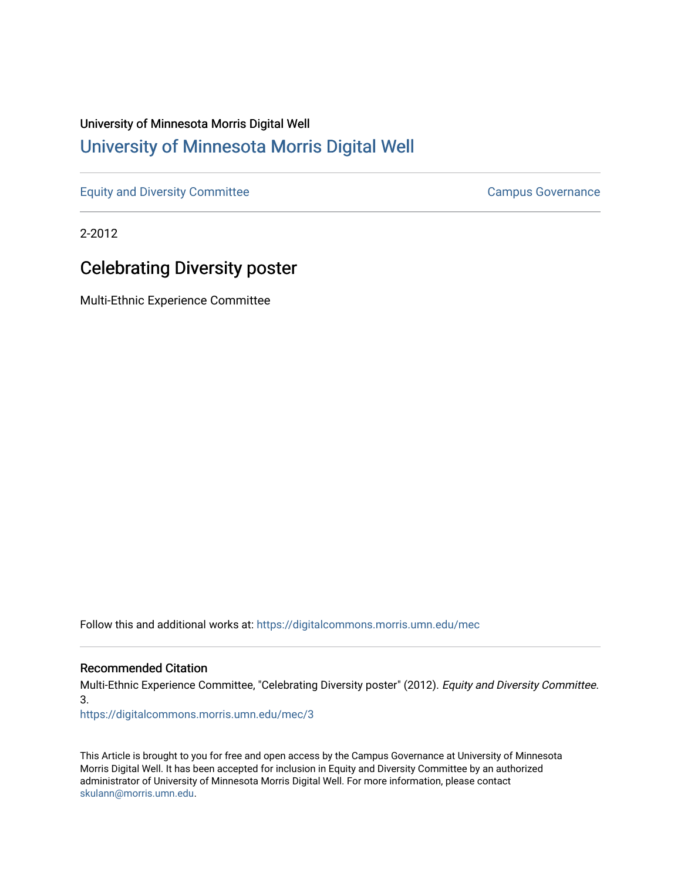## University of Minnesota Morris Digital Well [University of Minnesota Morris Digital Well](https://digitalcommons.morris.umn.edu/)

[Equity and Diversity Committee](https://digitalcommons.morris.umn.edu/mec) [Campus Governance](https://digitalcommons.morris.umn.edu/campgov) Campus Governance

2-2012

# Celebrating Diversity poster

Multi-Ethnic Experience Committee

Follow this and additional works at: [https://digitalcommons.morris.umn.edu/mec](https://digitalcommons.morris.umn.edu/mec?utm_source=digitalcommons.morris.umn.edu%2Fmec%2F3&utm_medium=PDF&utm_campaign=PDFCoverPages) 

#### Recommended Citation

Multi-Ethnic Experience Committee, "Celebrating Diversity poster" (2012). Equity and Diversity Committee. 3.

[https://digitalcommons.morris.umn.edu/mec/3](https://digitalcommons.morris.umn.edu/mec/3?utm_source=digitalcommons.morris.umn.edu%2Fmec%2F3&utm_medium=PDF&utm_campaign=PDFCoverPages) 

This Article is brought to you for free and open access by the Campus Governance at University of Minnesota Morris Digital Well. It has been accepted for inclusion in Equity and Diversity Committee by an authorized administrator of University of Minnesota Morris Digital Well. For more information, please contact [skulann@morris.umn.edu.](mailto:skulann@morris.umn.edu)